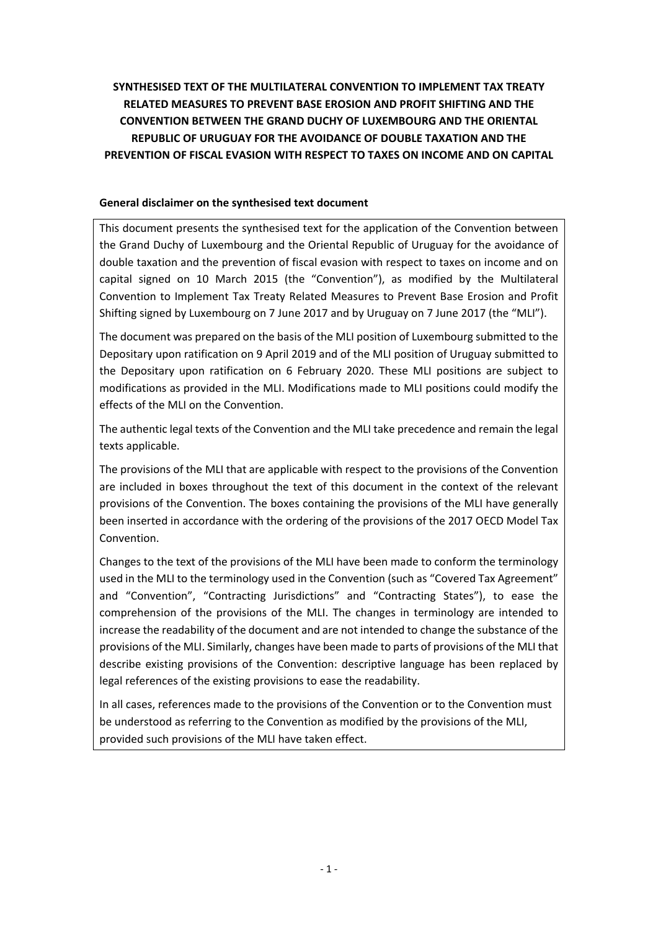# **SYNTHESISED TEXT OF THE MULTILATERAL CONVENTION TO IMPLEMENT TAX TREATY RELATED MEASURES TO PREVENT BASE EROSION AND PROFIT SHIFTING AND THE CONVENTION BETWEEN THE GRAND DUCHY OF LUXEMBOURG AND THE ORIENTAL REPUBLIC OF URUGUAY FOR THE AVOIDANCE OF DOUBLE TAXATION AND THE PREVENTION OF FISCAL EVASION WITH RESPECT TO TAXES ON INCOME AND ON CAPITAL**

# **General disclaimer on the synthesised text document**

This document presents the synthesised text for the application of the Convention between the Grand Duchy of Luxembourg and the Oriental Republic of Uruguay for the avoidance of double taxation and the prevention of fiscal evasion with respect to taxes on income and on capital signed on 10 March 2015 (the "Convention"), as modified by the Multilateral Convention to Implement Tax Treaty Related Measures to Prevent Base Erosion and Profit Shifting signed by Luxembourg on 7 June 2017 and by Uruguay on 7 June 2017 (the "MLI").

The document was prepared on the basis of the MLI position of Luxembourg submitted to the Depositary upon ratification on 9 April 2019 and of the MLI position of Uruguay submitted to the Depositary upon ratification on 6 February 2020. These MLI positions are subject to modifications as provided in the MLI. Modifications made to MLI positions could modify the effects of the MLI on the Convention.

The authentic legal texts of the Convention and the MLI take precedence and remain the legal texts applicable.

The provisions of the MLI that are applicable with respect to the provisions of the Convention are included in boxes throughout the text of this document in the context of the relevant provisions of the Convention. The boxes containing the provisions of the MLI have generally been inserted in accordance with the ordering of the provisions of the 2017 OECD Model Tax Convention.

Changes to the text of the provisions of the MLI have been made to conform the terminology used in the MLI to the terminology used in the Convention (such as "Covered Tax Agreement" and "Convention", "Contracting Jurisdictions" and "Contracting States"), to ease the comprehension of the provisions of the MLI. The changes in terminology are intended to increase the readability of the document and are not intended to change the substance of the provisions of the MLI. Similarly, changes have been made to parts of provisions of the MLI that describe existing provisions of the Convention: descriptive language has been replaced by legal references of the existing provisions to ease the readability.

In all cases, references made to the provisions of the Convention or to the Convention must be understood as referring to the Convention as modified by the provisions of the MLI, provided such provisions of the MLI have taken effect.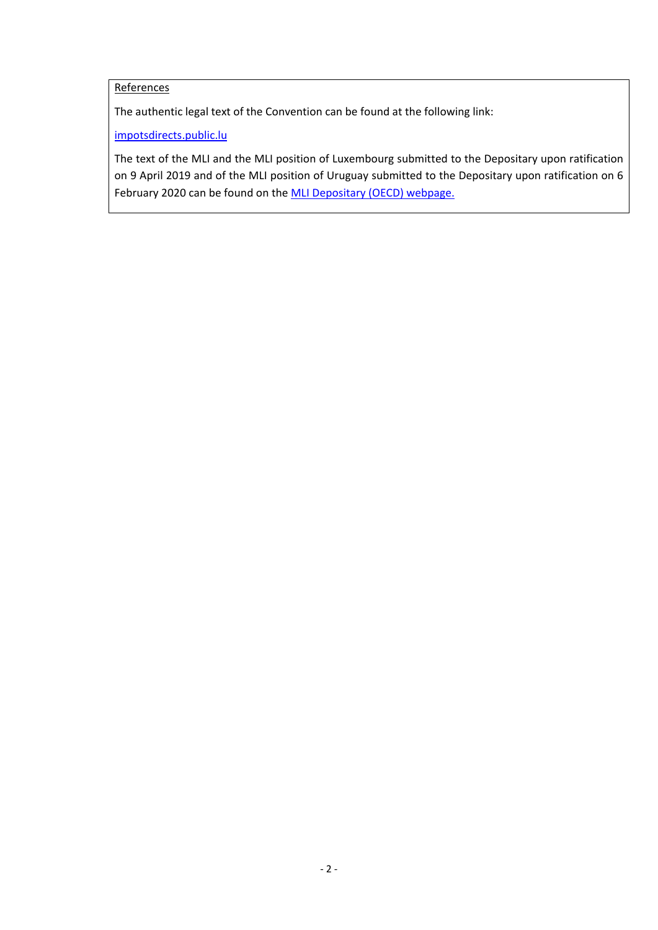# **References**

The authentic legal text of the Convention can be found at the following link:

[impotsdirects.public.lu](https://impotsdirects.public.lu/fr.html)

The text of the MLI and the MLI position of Luxembourg submitted to the Depositary upon ratification on 9 April 2019 and of the MLI position of Uruguay submitted to the Depositary upon ratification on 6 February 2020 can be found on the [MLI Depositary \(OECD\) webpage.](https://www.oecd.org/tax/treaties/multilateral-convention-to-implement-tax-treaty-related-measures-to-prevent-beps.htm)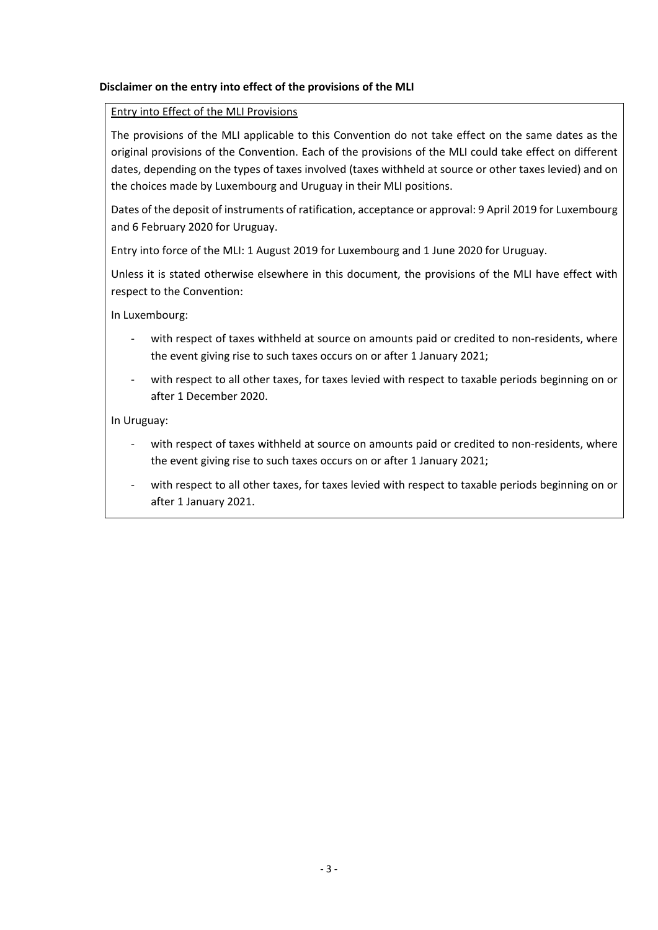# **Disclaimer on the entry into effect of the provisions of the MLI**

#### Entry into Effect of the MLI Provisions

The provisions of the MLI applicable to this Convention do not take effect on the same dates as the original provisions of the Convention. Each of the provisions of the MLI could take effect on different dates, depending on the types of taxes involved (taxes withheld at source or other taxes levied) and on the choices made by Luxembourg and Uruguay in their MLI positions.

Dates of the deposit of instruments of ratification, acceptance or approval: 9 April 2019 for Luxembourg and 6 February 2020 for Uruguay.

Entry into force of the MLI: 1 August 2019 for Luxembourg and 1 June 2020 for Uruguay.

Unless it is stated otherwise elsewhere in this document, the provisions of the MLI have effect with respect to the Convention:

In Luxembourg:

- with respect of taxes withheld at source on amounts paid or credited to non-residents, where the event giving rise to such taxes occurs on or after 1 January 2021;
- with respect to all other taxes, for taxes levied with respect to taxable periods beginning on or after 1 December 2020.

In Uruguay:

- with respect of taxes withheld at source on amounts paid or credited to non-residents, where the event giving rise to such taxes occurs on or after 1 January 2021;
- with respect to all other taxes, for taxes levied with respect to taxable periods beginning on or after 1 January 2021.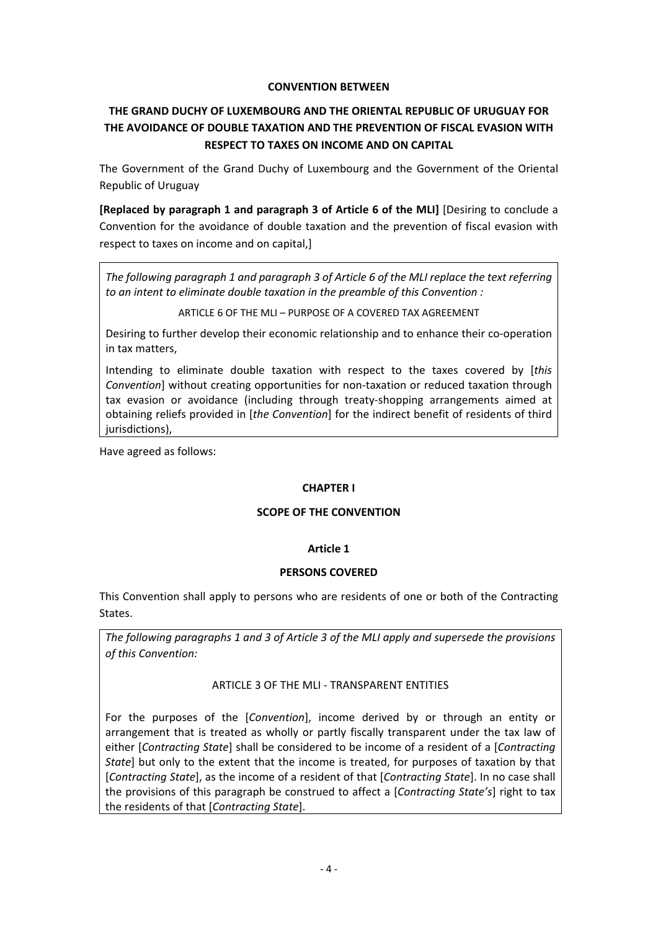#### **CONVENTION BETWEEN**

# **THE GRAND DUCHY OF LUXEMBOURG AND THE ORIENTAL REPUBLIC OF URUGUAY FOR THE AVOIDANCE OF DOUBLE TAXATION AND THE PREVENTION OF FISCAL EVASION WITH RESPECT TO TAXES ON INCOME AND ON CAPITAL**

The Government of the Grand Duchy of Luxembourg and the Government of the Oriental Republic of Uruguay

**[Replaced by paragraph 1 and paragraph 3 of Article 6 of the MLI]** [Desiring to conclude a Convention for the avoidance of double taxation and the prevention of fiscal evasion with respect to taxes on income and on capital,]

*The following paragraph 1 and paragraph 3 of Article 6 of the MLI replace the text referring to an intent to eliminate double taxation in the preamble of this Convention :*

ARTICLE 6 OF THE MLI – PURPOSE OF A COVERED TAX AGREEMENT

Desiring to further develop their economic relationship and to enhance their co-operation in tax matters,

Intending to eliminate double taxation with respect to the taxes covered by [*this Convention*] without creating opportunities for non-taxation or reduced taxation through tax evasion or avoidance (including through treaty-shopping arrangements aimed at obtaining reliefs provided in [*the Convention*] for the indirect benefit of residents of third jurisdictions),

Have agreed as follows:

#### **CHAPTER I**

#### **SCOPE OF THE CONVENTION**

# **Article 1**

#### **PERSONS COVERED**

This Convention shall apply to persons who are residents of one or both of the Contracting States.

*The following paragraphs 1 and 3 of Article 3 of the MLI apply and supersede the provisions of this Convention:*

#### ARTICLE 3 OF THE MLI - TRANSPARENT ENTITIES

For the purposes of the [*Convention*], income derived by or through an entity or arrangement that is treated as wholly or partly fiscally transparent under the tax law of either [*Contracting State*] shall be considered to be income of a resident of a [*Contracting State*] but only to the extent that the income is treated, for purposes of taxation by that [*Contracting State*], as the income of a resident of that [*Contracting State*]. In no case shall the provisions of this paragraph be construed to affect a [*Contracting State's*] right to tax the residents of that [*Contracting State*].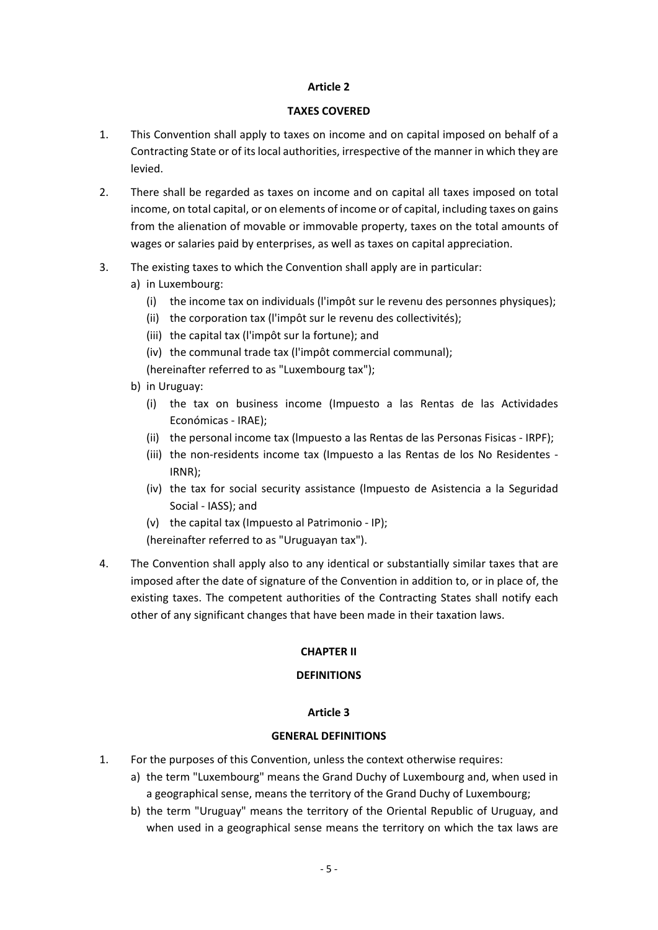#### **TAXES COVERED**

- 1. This Convention shall apply to taxes on income and on capital imposed on behalf of a Contracting State or of itslocal authorities, irrespective of the manner in which they are levied.
- 2. There shall be regarded as taxes on income and on capital all taxes imposed on total income, on total capital, or on elements of income or of capital, including taxes on gains from the alienation of movable or immovable property, taxes on the total amounts of wages or salaries paid by enterprises, as well as taxes on capital appreciation.
- 3. The existing taxes to which the Convention shall apply are in particular:
	- a) in Luxembourg:
		- (i) the income tax on individuals (l'impôt sur le revenu des personnes physiques);
		- (ii) the corporation tax (l'impôt sur le revenu des collectivités);
		- (iii) the capital tax (l'impôt sur la fortune); and
		- (iv) the communal trade tax (l'impôt commercial communal);

(hereinafter referred to as "Luxembourg tax");

- b) in Uruguay:
	- (i) the tax on business income (Impuesto a las Rentas de las Actividades Económicas - IRAE);
	- (ii) the personal income tax (lmpuesto a las Rentas de las Personas Fisicas IRPF);
	- (iii) the non-residents income tax (Impuesto a las Rentas de los No Residentes IRNR);
	- (iv) the tax for social security assistance (lmpuesto de Asistencia a la Seguridad Social - IASS); and
	- (v) the capital tax (Impuesto al Patrimonio IP);
	- (hereinafter referred to as "Uruguayan tax").
- 4. The Convention shall apply also to any identical or substantially similar taxes that are imposed after the date of signature of the Convention in addition to, or in place of, the existing taxes. The competent authorities of the Contracting States shall notify each other of any significant changes that have been made in their taxation laws.

#### **CHAPTER II**

#### **DEFINITIONS**

#### **Article 3**

#### **GENERAL DEFINITIONS**

- 1. For the purposes of this Convention, unless the context otherwise requires:
	- a) the term "Luxembourg" means the Grand Duchy of Luxembourg and, when used in a geographical sense, means the territory of the Grand Duchy of Luxembourg;
	- b) the term "Uruguay" means the territory of the Oriental Republic of Uruguay, and when used in a geographical sense means the territory on which the tax laws are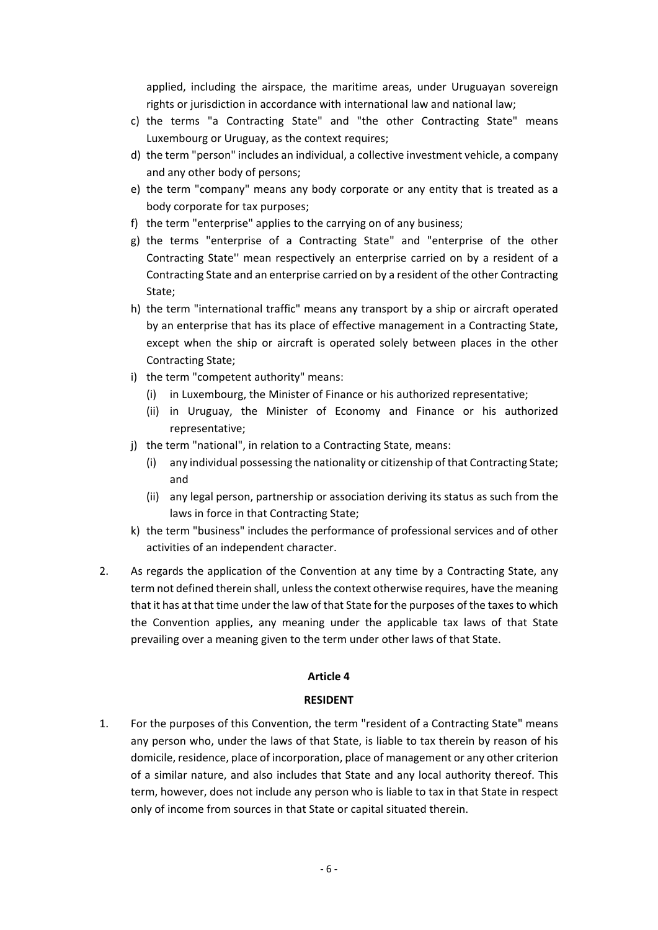applied, including the airspace, the maritime areas, under Uruguayan sovereign rights or jurisdiction in accordance with international law and national law;

- c) the terms "a Contracting State" and "the other Contracting State" means Luxembourg or Uruguay, as the context requires;
- d) the term "person" includes an individual, a collective investment vehicle, a company and any other body of persons;
- e) the term "company" means any body corporate or any entity that is treated as a body corporate for tax purposes;
- f) the term "enterprise" applies to the carrying on of any business;
- g) the terms "enterprise of a Contracting State" and "enterprise of the other Contracting State'' mean respectively an enterprise carried on by a resident of a Contracting State and an enterprise carried on by a resident of the other Contracting State;
- h) the term "international traffic" means any transport by a ship or aircraft operated by an enterprise that has its place of effective management in a Contracting State, except when the ship or aircraft is operated solely between places in the other Contracting State;
- i) the term "competent authority" means:
	- (i) in Luxembourg, the Minister of Finance or his authorized representative;
	- (ii) in Uruguay, the Minister of Economy and Finance or his authorized representative;
- j) the term "national", in relation to a Contracting State, means:
	- (i) any individual possessing the nationality or citizenship of that Contracting State; and
	- (ii) any legal person, partnership or association deriving its status as such from the laws in force in that Contracting State;
- k) the term "business" includes the performance of professional services and of other activities of an independent character.
- 2. As regards the application of the Convention at any time by a Contracting State, any term not defined therein shall, unless the context otherwise requires, have the meaning that it has at that time under the law of that State for the purposes of the taxes to which the Convention applies, any meaning under the applicable tax laws of that State prevailing over a meaning given to the term under other laws of that State.

#### **Article 4**

#### **RESIDENT**

1. For the purposes of this Convention, the term "resident of a Contracting State" means any person who, under the laws of that State, is liable to tax therein by reason of his domicile, residence, place of incorporation, place of management or any other criterion of a similar nature, and also includes that State and any local authority thereof. This term, however, does not include any person who is liable to tax in that State in respect only of income from sources in that State or capital situated therein.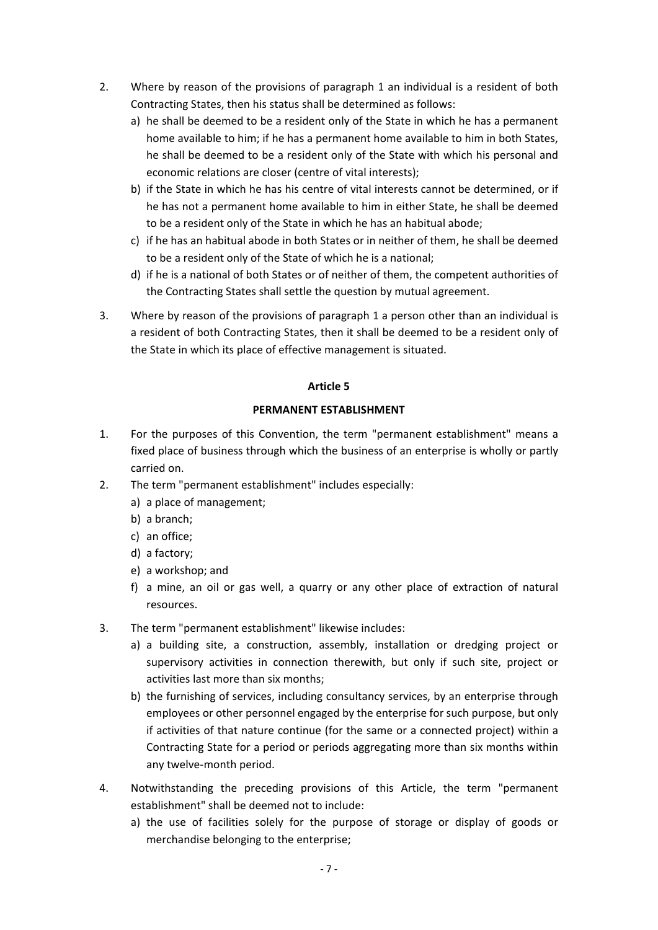- 2. Where by reason of the provisions of paragraph 1 an individual is a resident of both Contracting States, then his status shall be determined as follows:
	- a) he shall be deemed to be a resident only of the State in which he has a permanent home available to him; if he has a permanent home available to him in both States, he shall be deemed to be a resident only of the State with which his personal and economic relations are closer (centre of vital interests);
	- b) if the State in which he has his centre of vital interests cannot be determined, or if he has not a permanent home available to him in either State, he shall be deemed to be a resident only of the State in which he has an habitual abode;
	- c) if he has an habitual abode in both States or in neither of them, he shall be deemed to be a resident only of the State of which he is a national;
	- d) if he is a national of both States or of neither of them, the competent authorities of the Contracting States shall settle the question by mutual agreement.
- 3. Where by reason of the provisions of paragraph 1 a person other than an individual is a resident of both Contracting States, then it shall be deemed to be a resident only of the State in which its place of effective management is situated.

# **PERMANENT ESTABLISHMENT**

- 1. For the purposes of this Convention, the term "permanent establishment" means a fixed place of business through which the business of an enterprise is wholly or partly carried on.
- 2. The term "permanent establishment" includes especially:
	- a) a place of management;
	- b) a branch;
	- c) an office;
	- d) a factory;
	- e) a workshop; and
	- f) a mine, an oil or gas well, a quarry or any other place of extraction of natural resources.
- 3. The term "permanent establishment" likewise includes:
	- a) a building site, a construction, assembly, installation or dredging project or supervisory activities in connection therewith, but only if such site, project or activities last more than six months;
	- b) the furnishing of services, including consultancy services, by an enterprise through employees or other personnel engaged by the enterprise for such purpose, but only if activities of that nature continue (for the same or a connected project) within a Contracting State for a period or periods aggregating more than six months within any twelve-month period.
- 4. Notwithstanding the preceding provisions of this Article, the term "permanent establishment" shall be deemed not to include:
	- a) the use of facilities solely for the purpose of storage or display of goods or merchandise belonging to the enterprise;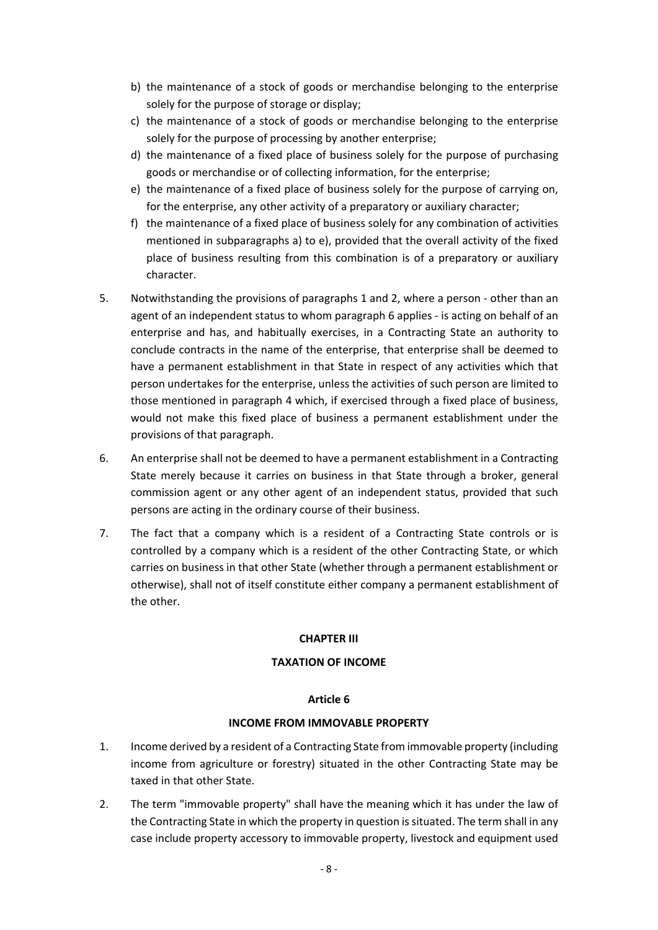- b) the maintenance of a stock of goods or merchandise belonging to the enterprise solely for the purpose of storage or display;
- c) the maintenance of a stock of goods or merchandise belonging to the enterprise solely for the purpose of processing by another enterprise;
- d) the maintenance of a fixed place of business solely for the purpose of purchasing goods or merchandise or of collecting information, for the enterprise;
- e) the maintenance of a fixed place of business solely for the purpose of carrying on, for the enterprise, any other activity of a preparatory or auxiliary character;
- f) the maintenance of a fixed place of business solely for any combination of activities mentioned in subparagraphs a) to e), provided that the overall activity of the fixed place of business resulting from this combination is of a preparatory or auxiliary character.
- 5. Notwithstanding the provisions of paragraphs 1 and 2, where a person other than an agent of an independent status to whom paragraph 6 applies - is acting on behalf of an enterprise and has, and habitually exercises, in a Contracting State an authority to conclude contracts in the name of the enterprise, that enterprise shall be deemed to have a permanent establishment in that State in respect of any activities which that person undertakes for the enterprise, unless the activities of such person are limited to those mentioned in paragraph 4 which, if exercised through a fixed place of business, would not make this fixed place of business a permanent establishment under the provisions of that paragraph.
- 6. An enterprise shall not be deemed to have a permanent establishment in a Contracting State merely because it carries on business in that State through a broker, general commission agent or any other agent of an independent status, provided that such persons are acting in the ordinary course of their business.
- 7. The fact that a company which is a resident of a Contracting State controls or is controlled by a company which is a resident of the other Contracting State, or which carries on business in that other State (whether through a permanent establishment or otherwise), shall not of itself constitute either company a permanent establishment of the other.

# **CHAPTER III**

#### **TAXATION OF INCOME**

#### **Article 6**

# **INCOME FROM IMMOVABLE PROPERTY**

- 1. Income derived by a resident of a Contracting State from immovable property (including income from agriculture or forestry) situated in the other Contracting State may be taxed in that other State.
- 2. The term "immovable property" shall have the meaning which it has under the law of the Contracting State in which the property in question is situated. The term shall in any case include property accessory to immovable property, livestock and equipment used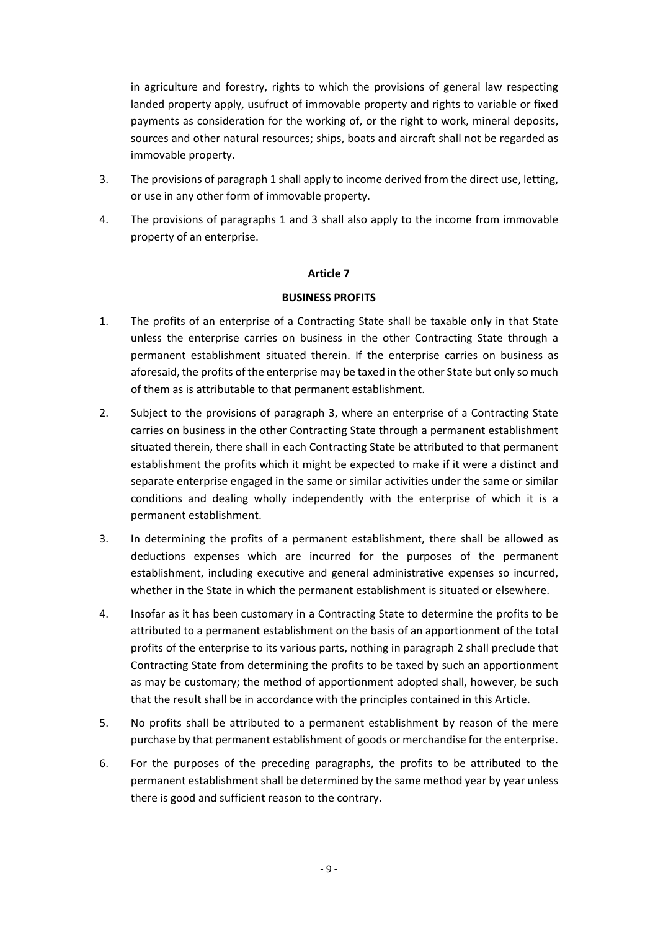in agriculture and forestry, rights to which the provisions of general law respecting landed property apply, usufruct of immovable property and rights to variable or fixed payments as consideration for the working of, or the right to work, mineral deposits, sources and other natural resources; ships, boats and aircraft shall not be regarded as immovable property.

- 3. The provisions of paragraph 1 shall apply to income derived from the direct use, letting, or use in any other form of immovable property.
- 4. The provisions of paragraphs 1 and 3 shall also apply to the income from immovable property of an enterprise.

# **Article 7**

# **BUSINESS PROFITS**

- 1. The profits of an enterprise of a Contracting State shall be taxable only in that State unless the enterprise carries on business in the other Contracting State through a permanent establishment situated therein. If the enterprise carries on business as aforesaid, the profits of the enterprise may be taxed in the other State but only so much of them as is attributable to that permanent establishment.
- 2. Subject to the provisions of paragraph 3, where an enterprise of a Contracting State carries on business in the other Contracting State through a permanent establishment situated therein, there shall in each Contracting State be attributed to that permanent establishment the profits which it might be expected to make if it were a distinct and separate enterprise engaged in the same or similar activities under the same or similar conditions and dealing wholly independently with the enterprise of which it is a permanent establishment.
- 3. In determining the profits of a permanent establishment, there shall be allowed as deductions expenses which are incurred for the purposes of the permanent establishment, including executive and general administrative expenses so incurred, whether in the State in which the permanent establishment is situated or elsewhere.
- 4. Insofar as it has been customary in a Contracting State to determine the profits to be attributed to a permanent establishment on the basis of an apportionment of the total profits of the enterprise to its various parts, nothing in paragraph 2 shall preclude that Contracting State from determining the profits to be taxed by such an apportionment as may be customary; the method of apportionment adopted shall, however, be such that the result shall be in accordance with the principles contained in this Article.
- 5. No profits shall be attributed to a permanent establishment by reason of the mere purchase by that permanent establishment of goods or merchandise for the enterprise.
- 6. For the purposes of the preceding paragraphs, the profits to be attributed to the permanent establishment shall be determined by the same method year by year unless there is good and sufficient reason to the contrary.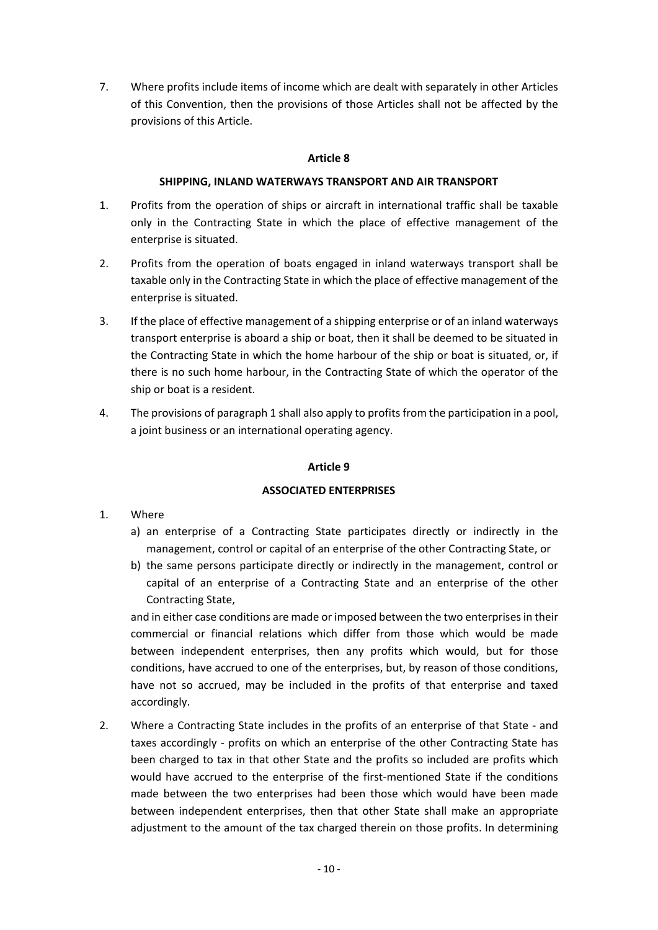7. Where profits include items of income which are dealt with separately in other Articles of this Convention, then the provisions of those Articles shall not be affected by the provisions of this Article.

# **Article 8**

#### **SHIPPING, INLAND WATERWAYS TRANSPORT AND AIR TRANSPORT**

- 1. Profits from the operation of ships or aircraft in international traffic shall be taxable only in the Contracting State in which the place of effective management of the enterprise is situated.
- 2. Profits from the operation of boats engaged in inland waterways transport shall be taxable only in the Contracting State in which the place of effective management of the enterprise is situated.
- 3. If the place of effective management of a shipping enterprise or of an inland waterways transport enterprise is aboard a ship or boat, then it shall be deemed to be situated in the Contracting State in which the home harbour of the ship or boat is situated, or, if there is no such home harbour, in the Contracting State of which the operator of the ship or boat is a resident.
- 4. The provisions of paragraph 1 shall also apply to profits from the participation in a pool, a joint business or an international operating agency.

# **Article 9**

# **ASSOCIATED ENTERPRISES**

- 1. Where
	- a) an enterprise of a Contracting State participates directly or indirectly in the management, control or capital of an enterprise of the other Contracting State, or
	- b) the same persons participate directly or indirectly in the management, control or capital of an enterprise of a Contracting State and an enterprise of the other Contracting State,

and in either case conditions are made or imposed between the two enterprises in their commercial or financial relations which differ from those which would be made between independent enterprises, then any profits which would, but for those conditions, have accrued to one of the enterprises, but, by reason of those conditions, have not so accrued, may be included in the profits of that enterprise and taxed accordingly.

2. Where a Contracting State includes in the profits of an enterprise of that State - and taxes accordingly - profits on which an enterprise of the other Contracting State has been charged to tax in that other State and the profits so included are profits which would have accrued to the enterprise of the first-mentioned State if the conditions made between the two enterprises had been those which would have been made between independent enterprises, then that other State shall make an appropriate adjustment to the amount of the tax charged therein on those profits. In determining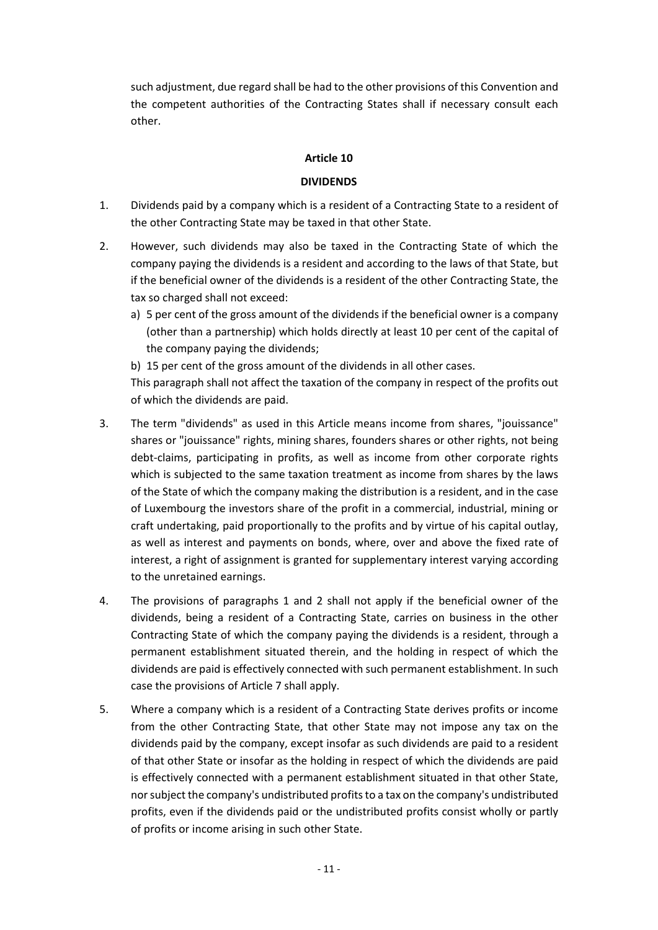such adjustment, due regard shall be had to the other provisions of this Convention and the competent authorities of the Contracting States shall if necessary consult each other.

# **Article 10**

# **DIVIDENDS**

- 1. Dividends paid by a company which is a resident of a Contracting State to a resident of the other Contracting State may be taxed in that other State.
- 2. However, such dividends may also be taxed in the Contracting State of which the company paying the dividends is a resident and according to the laws of that State, but if the beneficial owner of the dividends is a resident of the other Contracting State, the tax so charged shall not exceed:
	- a) 5 per cent of the gross amount of the dividends if the beneficial owner is a company (other than a partnership) which holds directly at least 10 per cent of the capital of the company paying the dividends;
	- b) 15 per cent of the gross amount of the dividends in all other cases.

This paragraph shall not affect the taxation of the company in respect of the profits out of which the dividends are paid.

- 3. The term "dividends" as used in this Article means income from shares, "jouissance" shares or "jouissance" rights, mining shares, founders shares or other rights, not being debt-claims, participating in profits, as well as income from other corporate rights which is subjected to the same taxation treatment as income from shares by the laws of the State of which the company making the distribution is a resident, and in the case of Luxembourg the investors share of the profit in a commercial, industrial, mining or craft undertaking, paid proportionally to the profits and by virtue of his capital outlay, as well as interest and payments on bonds, where, over and above the fixed rate of interest, a right of assignment is granted for supplementary interest varying according to the unretained earnings.
- 4. The provisions of paragraphs 1 and 2 shall not apply if the beneficial owner of the dividends, being a resident of a Contracting State, carries on business in the other Contracting State of which the company paying the dividends is a resident, through a permanent establishment situated therein, and the holding in respect of which the dividends are paid is effectively connected with such permanent establishment. In such case the provisions of Article 7 shall apply.
- 5. Where a company which is a resident of a Contracting State derives profits or income from the other Contracting State, that other State may not impose any tax on the dividends paid by the company, except insofar as such dividends are paid to a resident of that other State or insofar as the holding in respect of which the dividends are paid is effectively connected with a permanent establishment situated in that other State, nor subject the company's undistributed profits to a tax on the company's undistributed profits, even if the dividends paid or the undistributed profits consist wholly or partly of profits or income arising in such other State.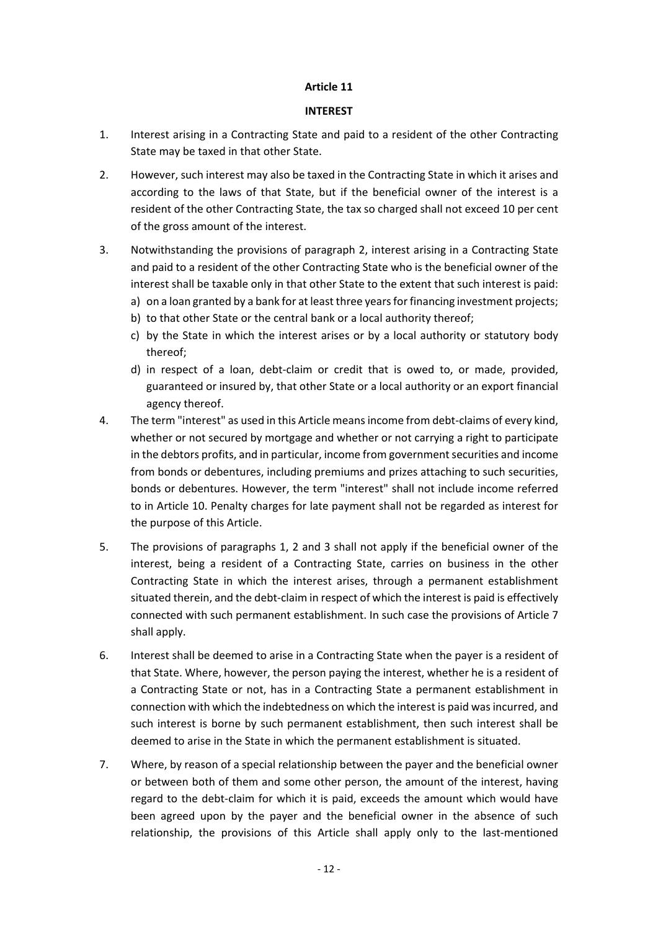#### **INTEREST**

- 1. Interest arising in a Contracting State and paid to a resident of the other Contracting State may be taxed in that other State.
- 2. However, such interest may also be taxed in the Contracting State in which it arises and according to the laws of that State, but if the beneficial owner of the interest is a resident of the other Contracting State, the tax so charged shall not exceed 10 per cent of the gross amount of the interest.
- 3. Notwithstanding the provisions of paragraph 2, interest arising in a Contracting State and paid to a resident of the other Contracting State who is the beneficial owner of the interest shall be taxable only in that other State to the extent that such interest is paid:
	- a) on a loan granted by a bank for at least three years for financing investment projects;
	- b) to that other State or the central bank or a local authority thereof;
	- c) by the State in which the interest arises or by a local authority or statutory body thereof;
	- d) in respect of a loan, debt-claim or credit that is owed to, or made, provided, guaranteed or insured by, that other State or a local authority or an export financial agency thereof.
- 4. The term "interest" as used in this Article means income from debt-claims of every kind, whether or not secured by mortgage and whether or not carrying a right to participate in the debtors profits, and in particular, income from government securities and income from bonds or debentures, including premiums and prizes attaching to such securities, bonds or debentures. However, the term "interest" shall not include income referred to in Article 10. Penalty charges for late payment shall not be regarded as interest for the purpose of this Article.
- 5. The provisions of paragraphs 1, 2 and 3 shall not apply if the beneficial owner of the interest, being a resident of a Contracting State, carries on business in the other Contracting State in which the interest arises, through a permanent establishment situated therein, and the debt-claim in respect of which the interest is paid is effectively connected with such permanent establishment. In such case the provisions of Article 7 shall apply.
- 6. Interest shall be deemed to arise in a Contracting State when the payer is a resident of that State. Where, however, the person paying the interest, whether he is a resident of a Contracting State or not, has in a Contracting State a permanent establishment in connection with which the indebtedness on which the interest is paid was incurred, and such interest is borne by such permanent establishment, then such interest shall be deemed to arise in the State in which the permanent establishment is situated.
- 7. Where, by reason of a special relationship between the payer and the beneficial owner or between both of them and some other person, the amount of the interest, having regard to the debt-claim for which it is paid, exceeds the amount which would have been agreed upon by the payer and the beneficial owner in the absence of such relationship, the provisions of this Article shall apply only to the last-mentioned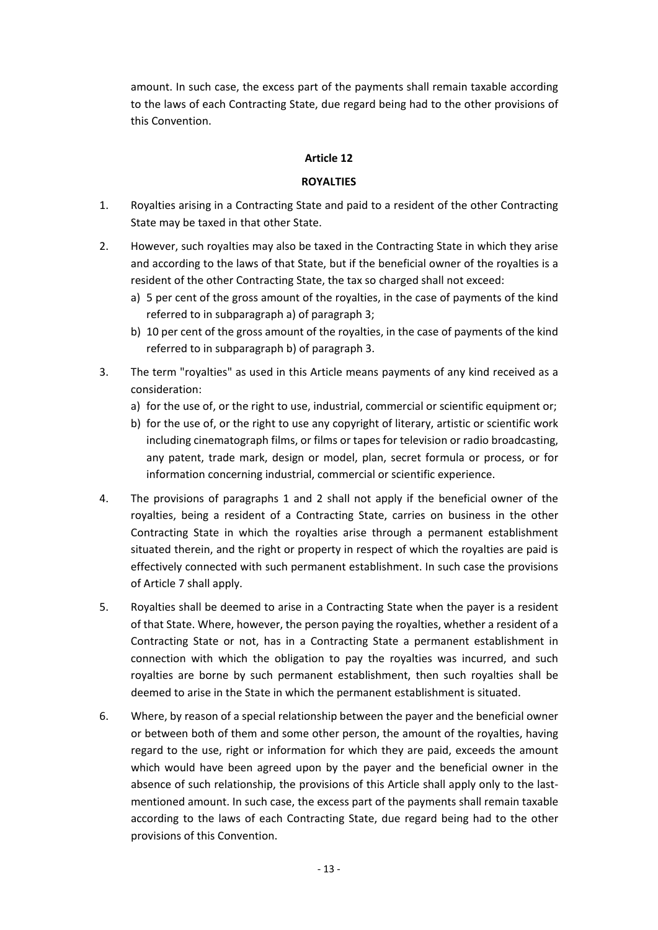amount. In such case, the excess part of the payments shall remain taxable according to the laws of each Contracting State, due regard being had to the other provisions of this Convention.

# **Article 12**

# **ROYALTIES**

- 1. Royalties arising in a Contracting State and paid to a resident of the other Contracting State may be taxed in that other State.
- 2. However, such royalties may also be taxed in the Contracting State in which they arise and according to the laws of that State, but if the beneficial owner of the royalties is a resident of the other Contracting State, the tax so charged shall not exceed:
	- a) 5 per cent of the gross amount of the royalties, in the case of payments of the kind referred to in subparagraph a) of paragraph 3;
	- b) 10 per cent of the gross amount of the royalties, in the case of payments of the kind referred to in subparagraph b) of paragraph 3.
- 3. The term "royalties" as used in this Article means payments of any kind received as a consideration:
	- a) for the use of, or the right to use, industrial, commercial or scientific equipment or;
	- b) for the use of, or the right to use any copyright of literary, artistic or scientific work including cinematograph films, or films or tapes for television or radio broadcasting, any patent, trade mark, design or model, plan, secret formula or process, or for information concerning industrial, commercial or scientific experience.
- 4. The provisions of paragraphs 1 and 2 shall not apply if the beneficial owner of the royalties, being a resident of a Contracting State, carries on business in the other Contracting State in which the royalties arise through a permanent establishment situated therein, and the right or property in respect of which the royalties are paid is effectively connected with such permanent establishment. In such case the provisions of Article 7 shall apply.
- 5. Royalties shall be deemed to arise in a Contracting State when the payer is a resident of that State. Where, however, the person paying the royalties, whether a resident of a Contracting State or not, has in a Contracting State a permanent establishment in connection with which the obligation to pay the royalties was incurred, and such royalties are borne by such permanent establishment, then such royalties shall be deemed to arise in the State in which the permanent establishment is situated.
- 6. Where, by reason of a special relationship between the payer and the beneficial owner or between both of them and some other person, the amount of the royalties, having regard to the use, right or information for which they are paid, exceeds the amount which would have been agreed upon by the payer and the beneficial owner in the absence of such relationship, the provisions of this Article shall apply only to the lastmentioned amount. In such case, the excess part of the payments shall remain taxable according to the laws of each Contracting State, due regard being had to the other provisions of this Convention.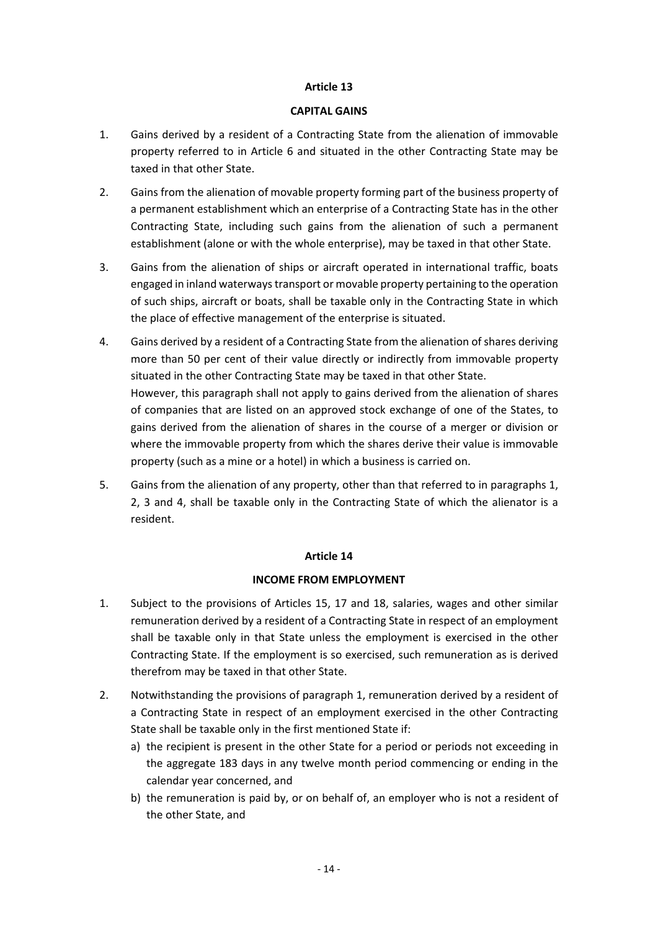#### **CAPITAL GAINS**

- 1. Gains derived by a resident of a Contracting State from the alienation of immovable property referred to in Article 6 and situated in the other Contracting State may be taxed in that other State.
- 2. Gains from the alienation of movable property forming part of the business property of a permanent establishment which an enterprise of a Contracting State has in the other Contracting State, including such gains from the alienation of such a permanent establishment (alone or with the whole enterprise), may be taxed in that other State.
- 3. Gains from the alienation of ships or aircraft operated in international traffic, boats engaged in inland waterwaystransport or movable property pertaining to the operation of such ships, aircraft or boats, shall be taxable only in the Contracting State in which the place of effective management of the enterprise is situated.
- 4. Gains derived by a resident of a Contracting State from the alienation of shares deriving more than 50 per cent of their value directly or indirectly from immovable property situated in the other Contracting State may be taxed in that other State. However, this paragraph shall not apply to gains derived from the alienation of shares of companies that are listed on an approved stock exchange of one of the States, to gains derived from the alienation of shares in the course of a merger or division or where the immovable property from which the shares derive their value is immovable property (such as a mine or a hotel) in which a business is carried on.
- 5. Gains from the alienation of any property, other than that referred to in paragraphs 1, 2, 3 and 4, shall be taxable only in the Contracting State of which the alienator is a resident.

#### **Article 14**

#### **INCOME FROM EMPLOYMENT**

- 1. Subject to the provisions of Articles 15, 17 and 18, salaries, wages and other similar remuneration derived by a resident of a Contracting State in respect of an employment shall be taxable only in that State unless the employment is exercised in the other Contracting State. If the employment is so exercised, such remuneration as is derived therefrom may be taxed in that other State.
- 2. Notwithstanding the provisions of paragraph 1, remuneration derived by a resident of a Contracting State in respect of an employment exercised in the other Contracting State shall be taxable only in the first mentioned State if:
	- a) the recipient is present in the other State for a period or periods not exceeding in the aggregate 183 days in any twelve month period commencing or ending in the calendar year concerned, and
	- b) the remuneration is paid by, or on behalf of, an employer who is not a resident of the other State, and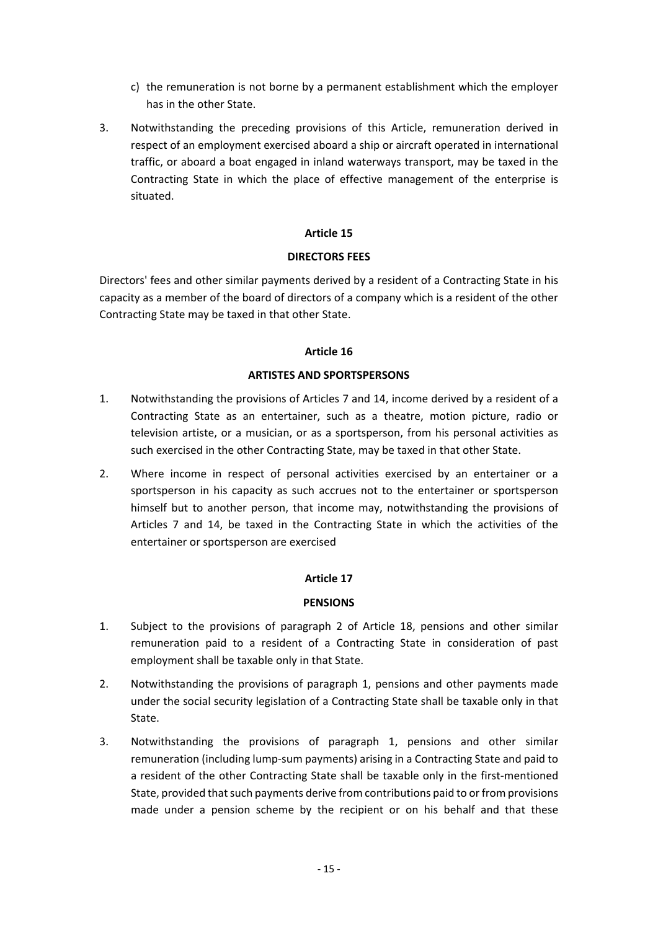- c) the remuneration is not borne by a permanent establishment which the employer has in the other State.
- 3. Notwithstanding the preceding provisions of this Article, remuneration derived in respect of an employment exercised aboard a ship or aircraft operated in international traffic, or aboard a boat engaged in inland waterways transport, may be taxed in the Contracting State in which the place of effective management of the enterprise is situated.

# **DIRECTORS FEES**

Directors' fees and other similar payments derived by a resident of a Contracting State in his capacity as a member of the board of directors of a company which is a resident of the other Contracting State may be taxed in that other State.

# **Article 16**

# **ARTISTES AND SPORTSPERSONS**

- 1. Notwithstanding the provisions of Articles 7 and 14, income derived by a resident of a Contracting State as an entertainer, such as a theatre, motion picture, radio or television artiste, or a musician, or as a sportsperson, from his personal activities as such exercised in the other Contracting State, may be taxed in that other State.
- 2. Where income in respect of personal activities exercised by an entertainer or a sportsperson in his capacity as such accrues not to the entertainer or sportsperson himself but to another person, that income may, notwithstanding the provisions of Articles 7 and 14, be taxed in the Contracting State in which the activities of the entertainer or sportsperson are exercised

# **Article 17**

# **PENSIONS**

- 1. Subject to the provisions of paragraph 2 of Article 18, pensions and other similar remuneration paid to a resident of a Contracting State in consideration of past employment shall be taxable only in that State.
- 2. Notwithstanding the provisions of paragraph 1, pensions and other payments made under the social security legislation of a Contracting State shall be taxable only in that State.
- 3. Notwithstanding the provisions of paragraph 1, pensions and other similar remuneration (including lump-sum payments) arising in a Contracting State and paid to a resident of the other Contracting State shall be taxable only in the first-mentioned State, provided that such payments derive from contributions paid to or from provisions made under a pension scheme by the recipient or on his behalf and that these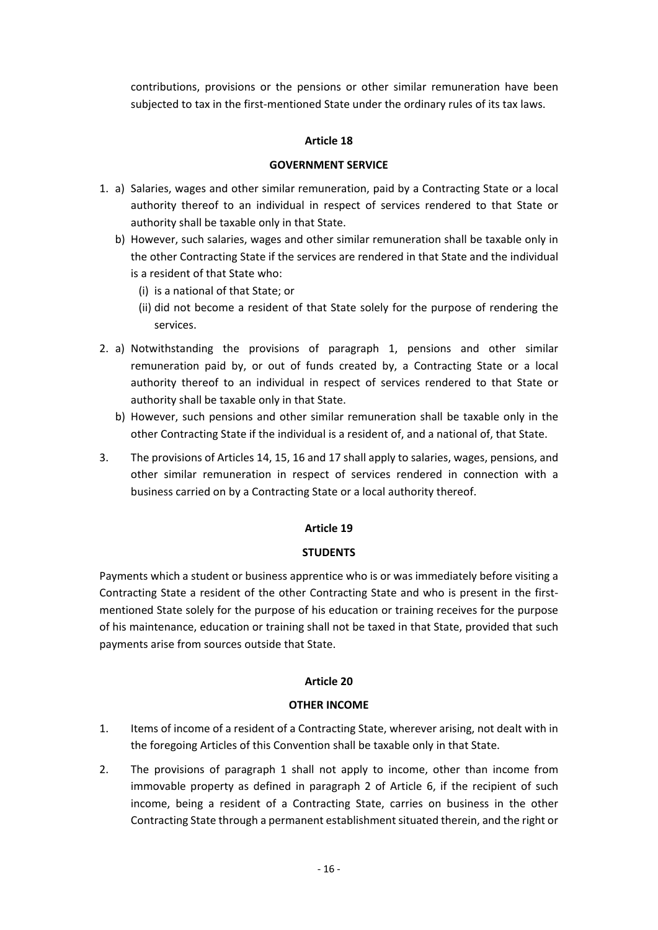contributions, provisions or the pensions or other similar remuneration have been subjected to tax in the first-mentioned State under the ordinary rules of its tax laws.

# **Article 18**

# **GOVERNMENT SERVICE**

- 1. a) Salaries, wages and other similar remuneration, paid by a Contracting State or a local authority thereof to an individual in respect of services rendered to that State or authority shall be taxable only in that State.
	- b) However, such salaries, wages and other similar remuneration shall be taxable only in the other Contracting State if the services are rendered in that State and the individual is a resident of that State who:
		- (i) is a national of that State; or
		- (ii) did not become a resident of that State solely for the purpose of rendering the services.
- 2. a) Notwithstanding the provisions of paragraph 1, pensions and other similar remuneration paid by, or out of funds created by, a Contracting State or a local authority thereof to an individual in respect of services rendered to that State or authority shall be taxable only in that State.
	- b) However, such pensions and other similar remuneration shall be taxable only in the other Contracting State if the individual is a resident of, and a national of, that State.
- 3. The provisions of Articles 14, 15, 16 and 17 shall apply to salaries, wages, pensions, and other similar remuneration in respect of services rendered in connection with a business carried on by a Contracting State or a local authority thereof.

# **Article 19**

# **STUDENTS**

Payments which a student or business apprentice who is or was immediately before visiting a Contracting State a resident of the other Contracting State and who is present in the firstmentioned State solely for the purpose of his education or training receives for the purpose of his maintenance, education or training shall not be taxed in that State, provided that such payments arise from sources outside that State.

# **Article 20**

# **OTHER INCOME**

- 1. Items of income of a resident of a Contracting State, wherever arising, not dealt with in the foregoing Articles of this Convention shall be taxable only in that State.
- 2. The provisions of paragraph 1 shall not apply to income, other than income from immovable property as defined in paragraph 2 of Article 6, if the recipient of such income, being a resident of a Contracting State, carries on business in the other Contracting State through a permanent establishment situated therein, and the right or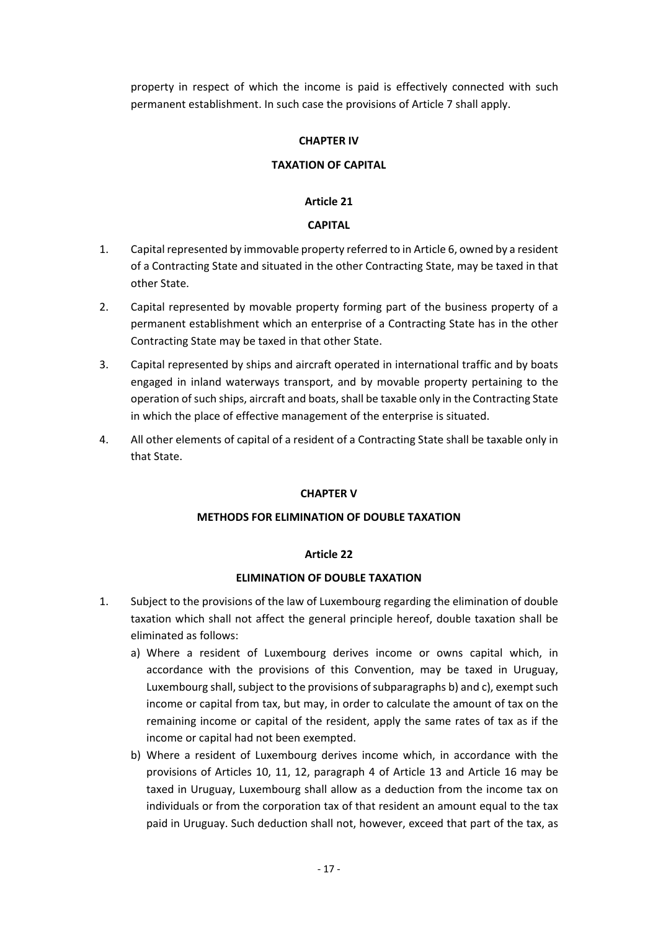property in respect of which the income is paid is effectively connected with such permanent establishment. In such case the provisions of Article 7 shall apply.

# **CHAPTER IV**

# **TAXATION OF CAPITAL**

# **Article 21**

# **CAPITAL**

- 1. Capital represented by immovable property referred to in Article 6, owned by a resident of a Contracting State and situated in the other Contracting State, may be taxed in that other State.
- 2. Capital represented by movable property forming part of the business property of a permanent establishment which an enterprise of a Contracting State has in the other Contracting State may be taxed in that other State.
- 3. Capital represented by ships and aircraft operated in international traffic and by boats engaged in inland waterways transport, and by movable property pertaining to the operation of such ships, aircraft and boats, shall be taxable only in the Contracting State in which the place of effective management of the enterprise is situated.
- 4. All other elements of capital of a resident of a Contracting State shall be taxable only in that State.

#### **CHAPTER V**

#### **METHODS FOR ELIMINATION OF DOUBLE TAXATION**

#### **Article 22**

# **ELIMINATION OF DOUBLE TAXATION**

- 1. Subject to the provisions of the law of Luxembourg regarding the elimination of double taxation which shall not affect the general principle hereof, double taxation shall be eliminated as follows:
	- a) Where a resident of Luxembourg derives income or owns capital which, in accordance with the provisions of this Convention, may be taxed in Uruguay, Luxembourg shall, subject to the provisions of subparagraphs b) and c), exempt such income or capital from tax, but may, in order to calculate the amount of tax on the remaining income or capital of the resident, apply the same rates of tax as if the income or capital had not been exempted.
	- b) Where a resident of Luxembourg derives income which, in accordance with the provisions of Articles 10, 11, 12, paragraph 4 of Article 13 and Article 16 may be taxed in Uruguay, Luxembourg shall allow as a deduction from the income tax on individuals or from the corporation tax of that resident an amount equal to the tax paid in Uruguay. Such deduction shall not, however, exceed that part of the tax, as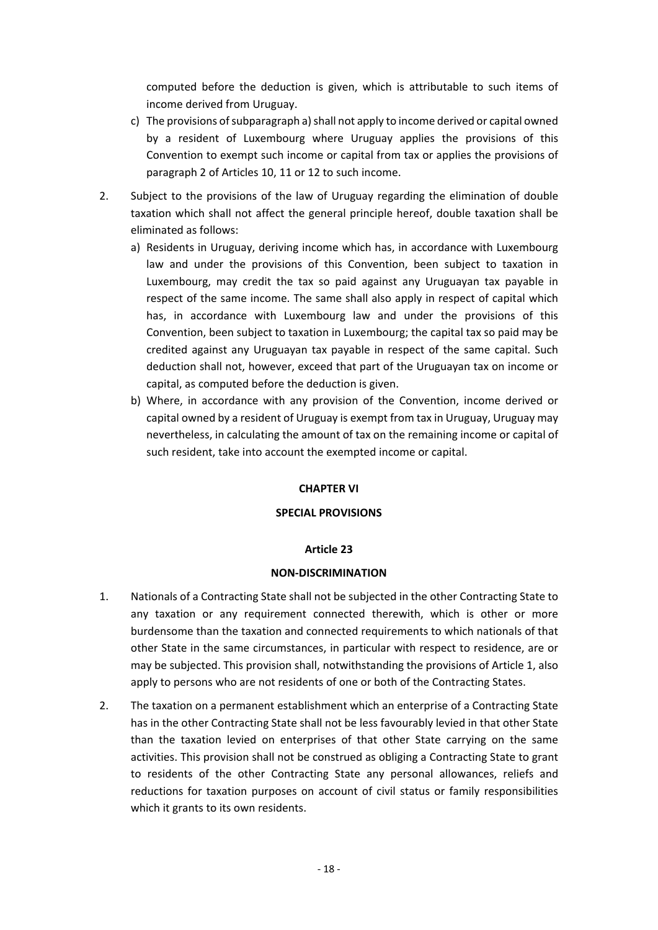computed before the deduction is given, which is attributable to such items of income derived from Uruguay.

- c) The provisions of subparagraph a) shall not apply to income derived or capital owned by a resident of Luxembourg where Uruguay applies the provisions of this Convention to exempt such income or capital from tax or applies the provisions of paragraph 2 of Articles 10, 11 or 12 to such income.
- 2. Subject to the provisions of the law of Uruguay regarding the elimination of double taxation which shall not affect the general principle hereof, double taxation shall be eliminated as follows:
	- a) Residents in Uruguay, deriving income which has, in accordance with Luxembourg law and under the provisions of this Convention, been subject to taxation in Luxembourg, may credit the tax so paid against any Uruguayan tax payable in respect of the same income. The same shall also apply in respect of capital which has, in accordance with Luxembourg law and under the provisions of this Convention, been subject to taxation in Luxembourg; the capital tax so paid may be credited against any Uruguayan tax payable in respect of the same capital. Such deduction shall not, however, exceed that part of the Uruguayan tax on income or capital, as computed before the deduction is given.
	- b) Where, in accordance with any provision of the Convention, income derived or capital owned by a resident of Uruguay is exempt from tax in Uruguay, Uruguay may nevertheless, in calculating the amount of tax on the remaining income or capital of such resident, take into account the exempted income or capital.

#### **CHAPTER VI**

# **SPECIAL PROVISIONS**

# **Article 23**

#### **NON-DISCRIMINATION**

- 1. Nationals of a Contracting State shall not be subjected in the other Contracting State to any taxation or any requirement connected therewith, which is other or more burdensome than the taxation and connected requirements to which nationals of that other State in the same circumstances, in particular with respect to residence, are or may be subjected. This provision shall, notwithstanding the provisions of Article 1, also apply to persons who are not residents of one or both of the Contracting States.
- 2. The taxation on a permanent establishment which an enterprise of a Contracting State has in the other Contracting State shall not be less favourably levied in that other State than the taxation levied on enterprises of that other State carrying on the same activities. This provision shall not be construed as obliging a Contracting State to grant to residents of the other Contracting State any personal allowances, reliefs and reductions for taxation purposes on account of civil status or family responsibilities which it grants to its own residents.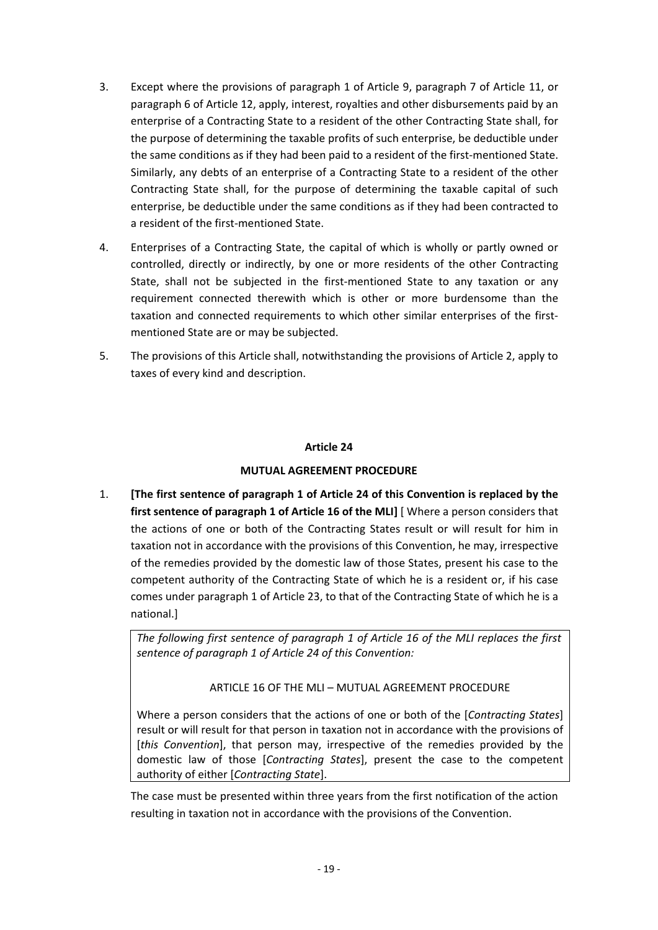- 3. Except where the provisions of paragraph 1 of Article 9, paragraph 7 of Article 11, or paragraph 6 of Article 12, apply, interest, royalties and other disbursements paid by an enterprise of a Contracting State to a resident of the other Contracting State shall, for the purpose of determining the taxable profits of such enterprise, be deductible under the same conditions as if they had been paid to a resident of the first-mentioned State. Similarly, any debts of an enterprise of a Contracting State to a resident of the other Contracting State shall, for the purpose of determining the taxable capital of such enterprise, be deductible under the same conditions as if they had been contracted to a resident of the first-mentioned State.
- 4. Enterprises of a Contracting State, the capital of which is wholly or partly owned or controlled, directly or indirectly, by one or more residents of the other Contracting State, shall not be subjected in the first-mentioned State to any taxation or any requirement connected therewith which is other or more burdensome than the taxation and connected requirements to which other similar enterprises of the firstmentioned State are or may be subjected.
- 5. The provisions of this Article shall, notwithstanding the provisions of Article 2, apply to taxes of every kind and description.

# **MUTUAL AGREEMENT PROCEDURE**

1. **[The first sentence of paragraph 1 of Article 24 of this Convention is replaced by the first sentence of paragraph 1 of Article 16 of the MLI]** [ Where a person considers that the actions of one or both of the Contracting States result or will result for him in taxation not in accordance with the provisions of this Convention, he may, irrespective of the remedies provided by the domestic law of those States, present his case to the competent authority of the Contracting State of which he is a resident or, if his case comes under paragraph 1 of Article 23, to that of the Contracting State of which he is a national.]

*The following first sentence of paragraph 1 of Article 16 of the MLI replaces the first sentence of paragraph 1 of Article 24 of this Convention:*

#### ARTICLE 16 OF THE MLI – MUTUAL AGREEMENT PROCEDURE

Where a person considers that the actions of one or both of the [*Contracting States*] result or will result for that person in taxation not in accordance with the provisions of [*this Convention*], that person may, irrespective of the remedies provided by the domestic law of those [*Contracting States*], present the case to the competent authority of either [*Contracting State*].

The case must be presented within three years from the first notification of the action resulting in taxation not in accordance with the provisions of the Convention.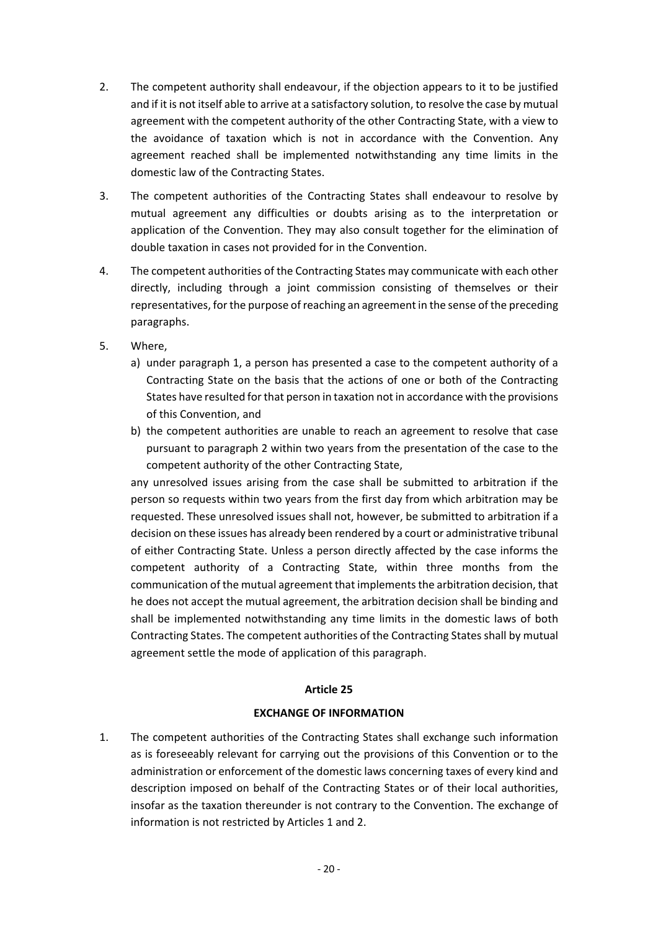- 2. The competent authority shall endeavour, if the objection appears to it to be justified and if it is not itself able to arrive at a satisfactory solution, to resolve the case by mutual agreement with the competent authority of the other Contracting State, with a view to the avoidance of taxation which is not in accordance with the Convention. Any agreement reached shall be implemented notwithstanding any time limits in the domestic law of the Contracting States.
- 3. The competent authorities of the Contracting States shall endeavour to resolve by mutual agreement any difficulties or doubts arising as to the interpretation or application of the Convention. They may also consult together for the elimination of double taxation in cases not provided for in the Convention.
- 4. The competent authorities of the Contracting States may communicate with each other directly, including through a joint commission consisting of themselves or their representatives, for the purpose of reaching an agreement in the sense of the preceding paragraphs.
- 5. Where,
	- a) under paragraph 1, a person has presented a case to the competent authority of a Contracting State on the basis that the actions of one or both of the Contracting States have resulted for that person in taxation not in accordance with the provisions of this Convention, and
	- b) the competent authorities are unable to reach an agreement to resolve that case pursuant to paragraph 2 within two years from the presentation of the case to the competent authority of the other Contracting State,

any unresolved issues arising from the case shall be submitted to arbitration if the person so requests within two years from the first day from which arbitration may be requested. These unresolved issues shall not, however, be submitted to arbitration if a decision on these issues has already been rendered by a court or administrative tribunal of either Contracting State. Unless a person directly affected by the case informs the competent authority of a Contracting State, within three months from the communication of the mutual agreement that implements the arbitration decision, that he does not accept the mutual agreement, the arbitration decision shall be binding and shall be implemented notwithstanding any time limits in the domestic laws of both Contracting States. The competent authorities of the Contracting States shall by mutual agreement settle the mode of application of this paragraph.

#### **Article 25**

# **EXCHANGE OF INFORMATION**

1. The competent authorities of the Contracting States shall exchange such information as is foreseeably relevant for carrying out the provisions of this Convention or to the administration or enforcement of the domestic laws concerning taxes of every kind and description imposed on behalf of the Contracting States or of their local authorities, insofar as the taxation thereunder is not contrary to the Convention. The exchange of information is not restricted by Articles 1 and 2.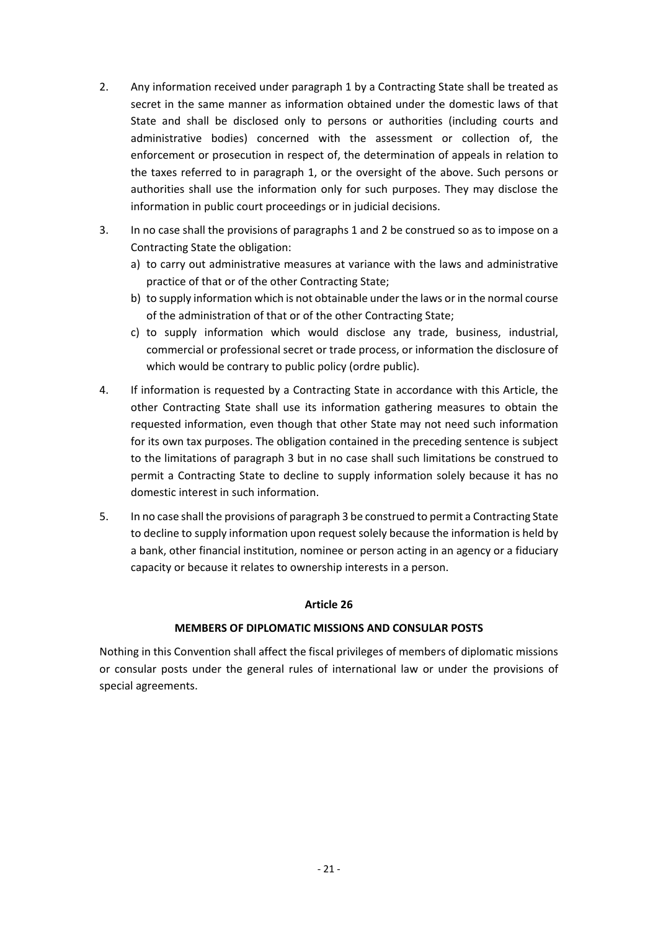- 2. Any information received under paragraph 1 by a Contracting State shall be treated as secret in the same manner as information obtained under the domestic laws of that State and shall be disclosed only to persons or authorities (including courts and administrative bodies) concerned with the assessment or collection of, the enforcement or prosecution in respect of, the determination of appeals in relation to the taxes referred to in paragraph 1, or the oversight of the above. Such persons or authorities shall use the information only for such purposes. They may disclose the information in public court proceedings or in judicial decisions.
- 3. In no case shall the provisions of paragraphs 1 and 2 be construed so as to impose on a Contracting State the obligation:
	- a) to carry out administrative measures at variance with the laws and administrative practice of that or of the other Contracting State;
	- b) to supply information which is not obtainable under the laws or in the normal course of the administration of that or of the other Contracting State;
	- c) to supply information which would disclose any trade, business, industrial, commercial or professional secret or trade process, or information the disclosure of which would be contrary to public policy (ordre public).
- 4. If information is requested by a Contracting State in accordance with this Article, the other Contracting State shall use its information gathering measures to obtain the requested information, even though that other State may not need such information for its own tax purposes. The obligation contained in the preceding sentence is subject to the limitations of paragraph 3 but in no case shall such limitations be construed to permit a Contracting State to decline to supply information solely because it has no domestic interest in such information.
- 5. In no case shall the provisions of paragraph 3 be construed to permit a Contracting State to decline to supply information upon request solely because the information is held by a bank, other financial institution, nominee or person acting in an agency or a fiduciary capacity or because it relates to ownership interests in a person.

# **MEMBERS OF DIPLOMATIC MISSIONS AND CONSULAR POSTS**

Nothing in this Convention shall affect the fiscal privileges of members of diplomatic missions or consular posts under the general rules of international law or under the provisions of special agreements.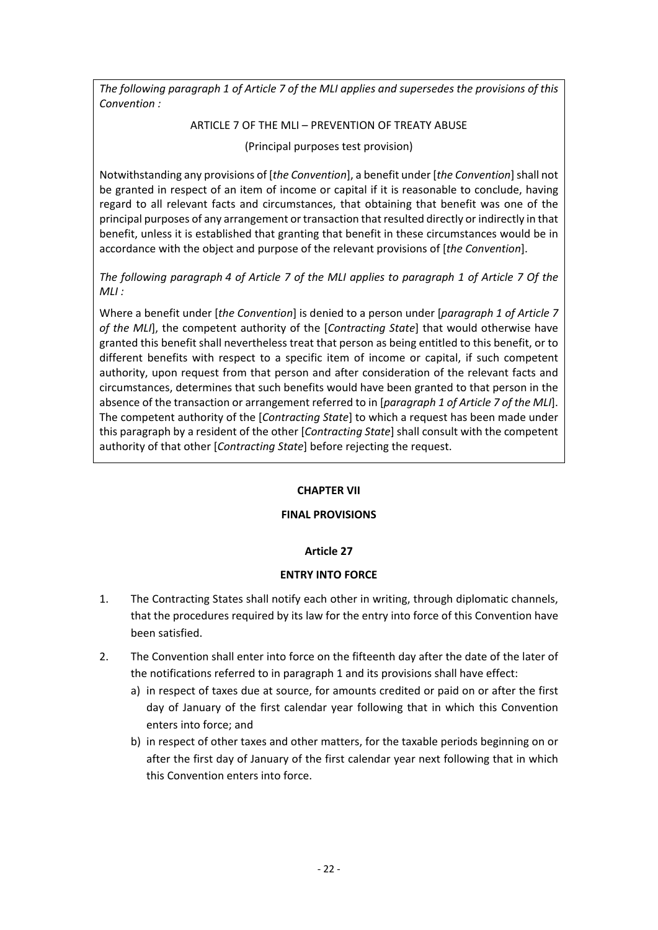*The following paragraph 1 of Article 7 of the MLI applies and supersedes the provisions of this Convention :*

# ARTICLE 7 OF THE MLI – PREVENTION OF TREATY ABUSE

(Principal purposes test provision)

Notwithstanding any provisions of [the Convention], a benefit under [the Convention] shall not be granted in respect of an item of income or capital if it is reasonable to conclude, having regard to all relevant facts and circumstances, that obtaining that benefit was one of the principal purposes of any arrangement or transaction that resulted directly or indirectly in that benefit, unless it is established that granting that benefit in these circumstances would be in accordance with the object and purpose of the relevant provisions of [*the Convention*].

*The following paragraph 4 of Article 7 of the MLI applies to paragraph 1 of Article 7 Of the MLI :*

Where a benefit under [*the Convention*] is denied to a person under [*paragraph 1 of Article 7 of the MLI*], the competent authority of the [*Contracting State*] that would otherwise have granted this benefit shall nevertheless treat that person as being entitled to this benefit, or to different benefits with respect to a specific item of income or capital, if such competent authority, upon request from that person and after consideration of the relevant facts and circumstances, determines that such benefits would have been granted to that person in the absence of the transaction or arrangement referred to in [*paragraph 1 of Article 7 of the MLI*]. The competent authority of the [*Contracting State*] to which a request has been made under this paragraph by a resident of the other [*Contracting State*] shall consult with the competent authority of that other [*Contracting State*] before rejecting the request.

# **CHAPTER VII**

#### **FINAL PROVISIONS**

# **Article 27**

# **ENTRY INTO FORCE**

- 1. The Contracting States shall notify each other in writing, through diplomatic channels, that the procedures required by its law for the entry into force of this Convention have been satisfied.
- 2. The Convention shall enter into force on the fifteenth day after the date of the later of the notifications referred to in paragraph 1 and its provisions shall have effect:
	- a) in respect of taxes due at source, for amounts credited or paid on or after the first day of January of the first calendar year following that in which this Convention enters into force; and
	- b) in respect of other taxes and other matters, for the taxable periods beginning on or after the first day of January of the first calendar year next following that in which this Convention enters into force.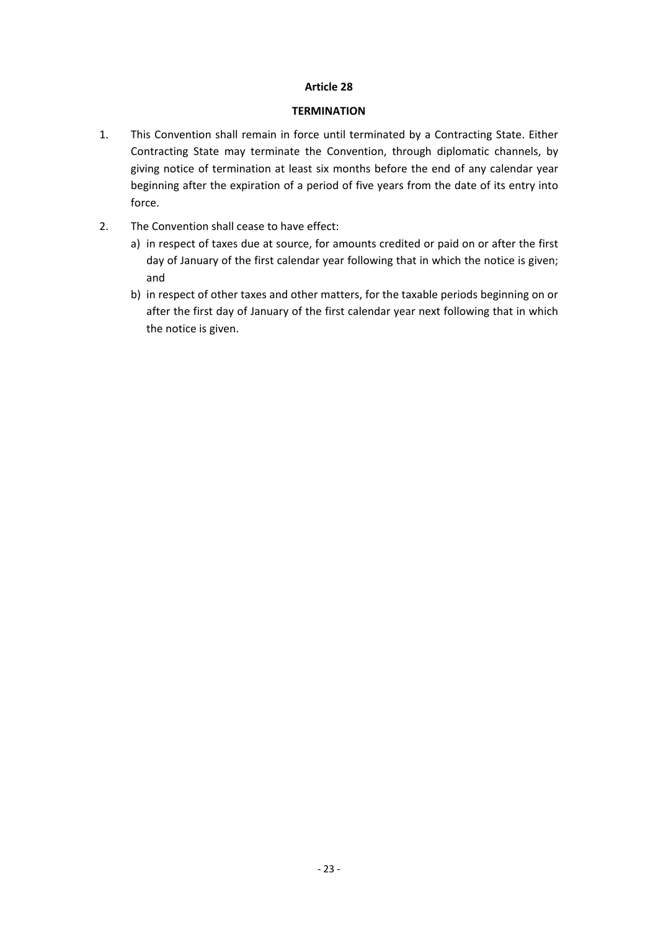#### **TERMINATION**

- 1. This Convention shall remain in force until terminated by a Contracting State. Either Contracting State may terminate the Convention, through diplomatic channels, by giving notice of termination at least six months before the end of any calendar year beginning after the expiration of a period of five years from the date of its entry into force.
- 2. The Convention shall cease to have effect:
	- a) in respect of taxes due at source, for amounts credited or paid on or after the first day of January of the first calendar year following that in which the notice is given; and
	- b) in respect of other taxes and other matters, for the taxable periods beginning on or after the first day of January of the first calendar year next following that in which the notice is given.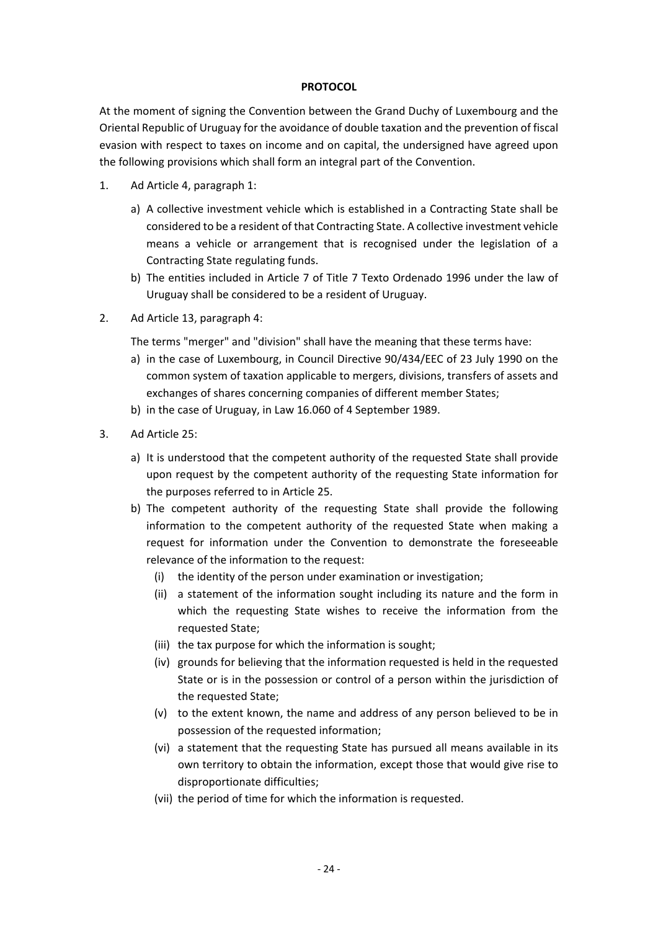#### **PROTOCOL**

At the moment of signing the Convention between the Grand Duchy of Luxembourg and the Oriental Republic of Uruguay for the avoidance of double taxation and the prevention of fiscal evasion with respect to taxes on income and on capital, the undersigned have agreed upon the following provisions which shall form an integral part of the Convention.

- 1. Ad Article 4, paragraph 1:
	- a) A collective investment vehicle which is established in a Contracting State shall be considered to be a resident of that Contracting State. A collective investment vehicle means a vehicle or arrangement that is recognised under the legislation of a Contracting State regulating funds.
	- b) The entities included in Article 7 of Title 7 Texto Ordenado 1996 under the law of Uruguay shall be considered to be a resident of Uruguay.
- 2. Ad Article 13, paragraph 4:

The terms "merger" and "division" shall have the meaning that these terms have:

- a) in the case of Luxembourg, in Council Directive 90/434/EEC of 23 July 1990 on the common system of taxation applicable to mergers, divisions, transfers of assets and exchanges of shares concerning companies of different member States;
- b) in the case of Uruguay, in Law 16.060 of 4 September 1989.
- 3. Ad Article 25:
	- a) It is understood that the competent authority of the requested State shall provide upon request by the competent authority of the requesting State information for the purposes referred to in Article 25.
	- b) The competent authority of the requesting State shall provide the following information to the competent authority of the requested State when making a request for information under the Convention to demonstrate the foreseeable relevance of the information to the request:
		- (i) the identity of the person under examination or investigation;
		- (ii) a statement of the information sought including its nature and the form in which the requesting State wishes to receive the information from the requested State;
		- (iii) the tax purpose for which the information is sought;
		- (iv) grounds for believing that the information requested is held in the requested State or is in the possession or control of a person within the jurisdiction of the requested State;
		- (v) to the extent known, the name and address of any person believed to be in possession of the requested information;
		- (vi) a statement that the requesting State has pursued all means available in its own territory to obtain the information, except those that would give rise to disproportionate difficulties;
		- (vii) the period of time for which the information is requested.